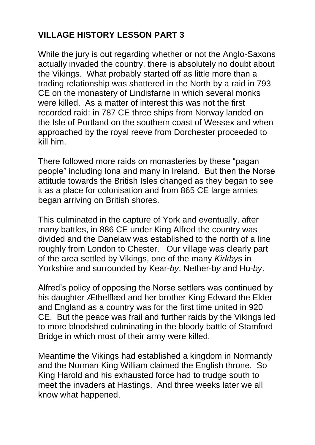## **VILLAGE HISTORY LESSON PART 3**

While the jury is out regarding whether or not the Anglo-Saxons actually invaded the country, there is absolutely no doubt about the Vikings. What probably started off as little more than a trading relationship was shattered in the North by a raid in 793 CE on the monastery of Lindisfarne in which several monks were killed. As a matter of interest this was not the first recorded raid: in 787 CE three ships from Norway landed on the Isle of Portland on the southern coast of Wessex and when approached by the royal reeve from Dorchester proceeded to kill him.

There followed more raids on monasteries by these "pagan people" including Iona and many in Ireland. But then the Norse attitude towards the British Isles changed as they began to see it as a place for colonisation and from 865 CE large armies began arriving on British shores.

This culminated in the capture of York and eventually, after many battles, in 886 CE under King Alfred the country was divided and the Danelaw was established to the north of a line roughly from London to Chester. Our village was clearly part of the area settled by Vikings, one of the many *Kirkby*s in Yorkshire and surrounded by Kear-*by*, Nether-b*y* and Hu-*by*.

Alfred's policy of opposing the Norse settlers was continued by his daughter [Æthelflæd](https://en.wikipedia.org/wiki/%C3%86thelfl%C3%A6d) and her brother King Edward the Elder and England as a country was for the first time united in 920 CE. But the peace was frail and further raids by the Vikings led to more bloodshed culminating in the bloody battle of Stamford Bridge in which most of their army were killed.

Meantime the Vikings had established a kingdom in Normandy and the Norman King William claimed the English throne. So King Harold and his exhausted force had to trudge south to meet the invaders at Hastings. And three weeks later we all know what happened.